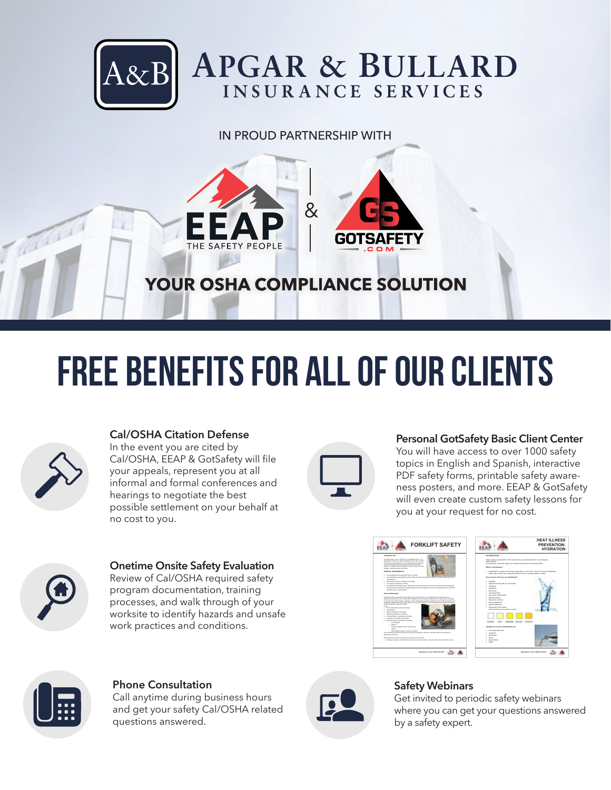

# IN PROUD PARTNERSHIP WITH



# **FREE BENEFITS FOR ALL OF OUR CLIENTS**



# **Cal/OSHA Citation Defense**

In the event you are cited by Cal/OSHA, EEAP & GotSafety will file your appeals, represent you at all informal and formal conferences and hearings to negotiate the best possible settlement on your behalf at no cost to you.

#### **Personal GotSafety Basic Client Center**

You will have access to over 1000 safety topics in English and Spanish, interactive PDF safety forms, printable safety awareness posters, and more. EEAP & GotSafety will even create custom safety lessons for you at your request for no cost.



#### **Onetime Onsite Safety Evaluation**  Review of Cal/OSHA required safety program documentation, training processes, and walk through of your worksite to identify hazards and unsafe work practices and conditions.







# **Phone Consultation**

Call anytime during business hours and get your safety Cal/OSHA related questions answered.



# **Safety Webinars**

Get invited to periodic safety webinars where you can get your questions answered by a safety expert.